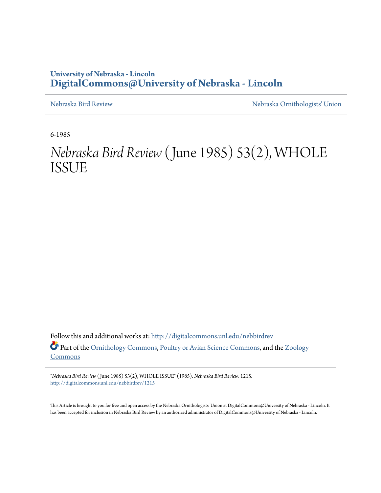# **University of Nebraska - Lincoln [DigitalCommons@University of Nebraska - Lincoln](http://digitalcommons.unl.edu?utm_source=digitalcommons.unl.edu%2Fnebbirdrev%2F1215&utm_medium=PDF&utm_campaign=PDFCoverPages)**

[Nebraska Bird Review](http://digitalcommons.unl.edu/nebbirdrev?utm_source=digitalcommons.unl.edu%2Fnebbirdrev%2F1215&utm_medium=PDF&utm_campaign=PDFCoverPages) [Nebraska Ornithologists' Union](http://digitalcommons.unl.edu/nebornithologists?utm_source=digitalcommons.unl.edu%2Fnebbirdrev%2F1215&utm_medium=PDF&utm_campaign=PDFCoverPages)

6-1985

# *Nebraska Bird Review* (June 1985) 53(2), WHOLE ISSUE

Follow this and additional works at: [http://digitalcommons.unl.edu/nebbirdrev](http://digitalcommons.unl.edu/nebbirdrev?utm_source=digitalcommons.unl.edu%2Fnebbirdrev%2F1215&utm_medium=PDF&utm_campaign=PDFCoverPages) Part of the [Ornithology Commons](http://network.bepress.com/hgg/discipline/1190?utm_source=digitalcommons.unl.edu%2Fnebbirdrev%2F1215&utm_medium=PDF&utm_campaign=PDFCoverPages), [Poultry or Avian Science Commons,](http://network.bepress.com/hgg/discipline/80?utm_source=digitalcommons.unl.edu%2Fnebbirdrev%2F1215&utm_medium=PDF&utm_campaign=PDFCoverPages) and the [Zoology](http://network.bepress.com/hgg/discipline/81?utm_source=digitalcommons.unl.edu%2Fnebbirdrev%2F1215&utm_medium=PDF&utm_campaign=PDFCoverPages) [Commons](http://network.bepress.com/hgg/discipline/81?utm_source=digitalcommons.unl.edu%2Fnebbirdrev%2F1215&utm_medium=PDF&utm_campaign=PDFCoverPages)

"*Nebraska Bird Review* ( June 1985) 53(2), WHOLE ISSUE" (1985). *Nebraska Bird Review*. 1215. [http://digitalcommons.unl.edu/nebbirdrev/1215](http://digitalcommons.unl.edu/nebbirdrev/1215?utm_source=digitalcommons.unl.edu%2Fnebbirdrev%2F1215&utm_medium=PDF&utm_campaign=PDFCoverPages)

This Article is brought to you for free and open access by the Nebraska Ornithologists' Union at DigitalCommons@University of Nebraska - Lincoln. It has been accepted for inclusion in Nebraska Bird Review by an authorized administrator of DigitalCommons@University of Nebraska - Lincoln.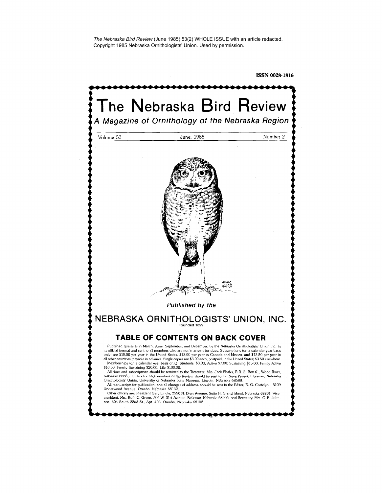*The Nebraska Bird Review* (June 1985) 53(2) WHOLE ISSUE with an article redacted. Copyright 1985 Nebraska Ornithologists' Union. Used by permission.

ISSN 0028-1816

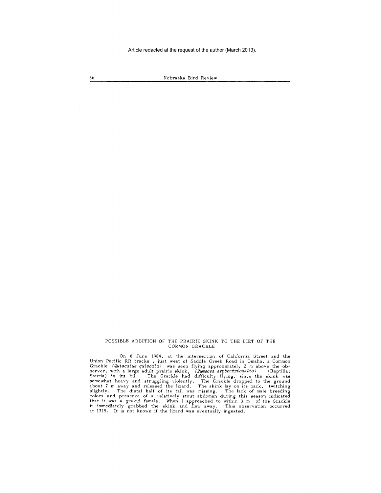36 Nebraska Bird Review

## POSSIBLE ADDITION OF THE PRAIRIE SKINK TO THE DIET OF THE COMMON GRACKLE

On 8 June 1984, at the intersection of California Street and the Union Pacific RR tracks , just west of Saddle Creek Road in Omaha, a Common Grackle *(Quiscalus quiscala)* was seen flying approximately 2 m above the ob-server, with a large adult prairie skink, *(E'umeces septentrionalis)* (Reptilia; Sauria) in its bill. The Grackle had difficulty flying, since the skink was somewhat heavy and struggling violently, The Grackle dropped to the ground about 7 m away and released the lizard. The skink lay on its back, twitching slightly. The distal half of its tail was missing. The lack of male breeding<br>colors and presence of a relatively stout abdomen during this season indicated<br>that it was a gravid female. When I approached to within 3 m of th it immediately grabbed the skink and flew away. This observation occurred at 1315. It is not known if the lizard was eventually ingested.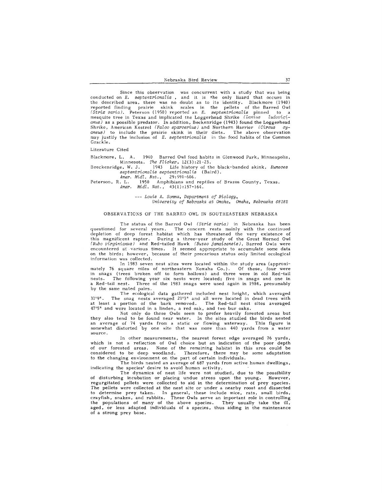Since this observation was concurrent with a study that was being conducted on *E. septentrionalis*, and it is the only lizard that occurs in the described area, there was no doubt as to its identity. Blackmore (1940) reported finding prairie skink scales in the pellets of the Barred Owl<br>*(Strix varia)*. Peterson (1950) reported an *E. septentrionalis* pinned to a mesquite tree in Texas and implicated the Loggerhead Shrike *(Lanius ludovic;ianus)* as a possible predator. In addition, Beckenridge ( 1943) found the Loggerhead Shrike, American Kestrel (Falco sparverius) and Northern Harrier *(Circus cyaneus)* to include the prairie skink in their diets. The above observation may justify the inclusion of *E. septentrionalis* in the food habits of the Common Grackle.

#### Literature Cited

Blackmore, L. A. 1940 Barred Owl food habits in Glenwood Park, Minneapolis, Minnesota. *The Flicker*, 12(3):21-23.<br>Breckenridge, W. J. 1943 Life history of th

Breckenridge, W. J. 1943 Life history of the black-banded skink, *Eumeces septentPionalis septentPionaUs* (Baird).

*AmeP. Midl. Nat.,* 29:591-606. Peterson, R. L. 1950 Amphibians and reptiles of Brazos County, Texas. *AmeP. Midl. Nat.,* 43(1):157-164.

*Louis A. Somma, DepaPtment of Biology,* 

*UnivePsity of NebPaska at Omaha, Omaha, NebPaska 68182* 

## OBSERVATIONS OF THE BARRED OWL IN SOUTHEASTERN NEBRASKA

The status of the Barred Owl *(Strix varia)* in Nebraska has been questioned for several years. The concern rests mainly with the continued depletion of deep forest habitat which has threatened the very existence of this magnificent raptor. During a three-year study of the Great Horned Owl *(Bubo viPginianus)* and Red-tailed Hawk *( Buteo jamaicensis),* Barred Owls were encountered at various times. It seemed appropriate to accumulate some data on the birds; however, because of their precarious status only limited ecological **information was collected.** 

In 1983 seven nest sites were located within the study area (approximately 76 square miles of northeastern Nemaha Co.). Of these, four were in snags (trees broken off to form hollows) and three were in old Red-tail nests. The following year six nests were located; five in snags and one in a Red-tail nest. Three of the 1983 snags were used again in 1984, presumably by the same mated pairs.

The ecological data gathered included nest height, which averaged 31 '9". The snag nests averaged 21'3" and all were located in dead trees with at least a portion of the bark removed. The Red-tail nest sites averaged 47'5" and were located in a linden, a red oak, and two bur oaks.

Not only do these Owls seem to prefer heavily forested areas but they also tend to be found near water. In the sites studied the birds nested an average of 74 yards from a static or flowing waterway. This figure is somewhat distorted by one site that was more than 440 yards from a water **source.** 

In other measurements, the nearest forest edge averaged 76 yards, which is not a reflection of Owl choice but an indication of the poor depth of our forested areas. None of the remaining habitat in this area could be considered to be deep woodland. Therefore, there may be some adaptation to the changing environment on the part of certain individuals.

The birds nested an average of 687 yards from active human dwellings, indicating the species' desire to avoid human activity.

The dynamics of nest life were not studied, due to the possibility of disturbing incubation or placing undue stress upon the young. However, regurgitated pellets were collected to aid in the determination of prey species. The pellets were collected at the nest site or under a nearby roost and dissected to determine prey taken. In general, these include mice, rats, small birds, crayfish, snakes, and rabbits. These Owls serve an important role in controlling<br>the populations of many of the above species. They usually take t aged, or less adapted individuals of a species, thus aiding in the maintenance of a strong prey base.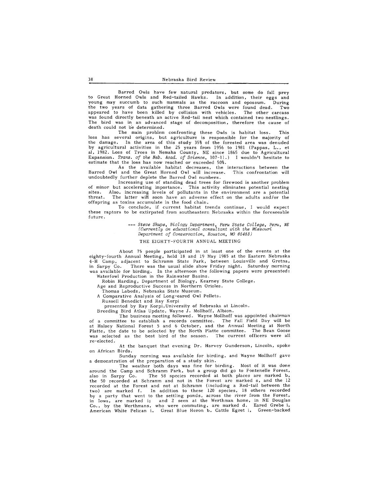Barred Owls have few natural predators, but some do fall prey to Great Horned Owls and Red-tailed Hawks. In addition, their eggs and young may succumb to such mammals as the raccoon and opossum. During the two years of data gathering three Barred Owls were found dead. Two appeared to have been killed by collision with vehicles. The other carcass was found directly beneath an active Red-tail nest which contained two nestlings. The bird was in an advanced stage of decomposition, therefore the cause of death could not b'e determined.

The main problem confronting these Owls is habitat loss. This loss has several origins, but agriculture is responsible for the majority of the damage. In the area of this study 35% of the forested area was denuded by agricultural activities in the 25 years from 1956 to 1981 (Pappas, L., et al, 1982. Loss of Trees in Nemaha County, NE since 1865 due to Agricultural Expansion. *Trans. of the Neb. Acad. of Science,* 107-11.) I wouldn't hesitate to estimate that the loss has now reached or exceeded 50%.

As the available habitat decreases, the interactions between the Barred Owl and the Great Horned Owl will increase. This confrontation will undoubtedly further deplete the Barred Owl numbers.

Increasing use of standing dead trees for firewood is another problem<br>ut accelerating importance. This activity eliminates potential nesting of minor but accelerating importance. This activity eliminates potential nesting<br>sites. Also, increasing levels of pollutants in the environment are a potential<br>threat. The latter will soon have an adverse effect on the ad offspring as toxins accumulate in the food chain.

To conclude, if current habitat trends continue, I would expect these raptors to be extirpated from southeastern Nebraska within the foreseeable future.

> *Steve Shupe, Biologu Department, Peru State College, Peru, NE (Currently an educational consultant with the Missouri Department of Conservation, Houston, MO 65483)*

#### THE EIGHTY-FOURTH ANNUAL MEETING

A bout 75 people participated in at least one of the events at the eighty-fourth Annual Meeting, held 18 and 19 May 1985 at the Eastern Nebraska 4-H Camp, adjacent to Schramm State Park, between Louisville and Gretna, in Sarpy Co. There was the usual slide show Friday night. Saturday morning was available for birding. In the afternoon the following papers were presented: Waterfowl Production in the Rainwater Basins.

Robin Harding, Department of Biology, Kearney State College.

Age and Reproductive Success in Northern Orioles.

Thomas Labedz, Nebraska State Museum.

A Comparative Analysis of Long-eared Owl Pellets.

Russell Benedict and Ray Korpi

presented by Ray Korpi, University of Nebraska at Lincoln.

Breeding Bird Atlas Update, Wayne J. Mollhoff, Albion.

The business meeting followed. Wayne Mollhoff was appointed chairman of a committee to establish a records committee. The Fall Field Day will be at Halsey National Forest 5 and 6 October, and the Annual Meeting at North Platte, the date to be selected by the North Platte committee. The Bean Goose was selected as the best bird of the season. The current officers were all re-elected.

At the banquet that evening Dr. Harvey Gunderson, Lincoln, spoke on African Birds.

Sunday morning was available for birding, and Wayne Mollhoff gave a demonstration of the preparation of a study skin.

The weather both days was fine for birding. Most of it was done around the Camp and Schramm Park, but a group did go to Fontenelle Forest, also in Sarpy Co. The 58 species recorded at both places are marked b, the 50 recorded at Schramm and not in the Forest are marked s, and the 12 recorded at the Forest and not at Schramm (including a Red-tail between the two) are marked f. In addition to these 120 species, 18 others recorded by a party that went to the settling ponds, across the river from the Forest, in Iowa, are marked i; and 2 seen at the Werthman home, in NE Douglas Co., by the Werthmans, who were commuting, are marked d. Eared Grebe i, American White Pelican i. Great Blue Heron b. Cattle Egret i, Green-backed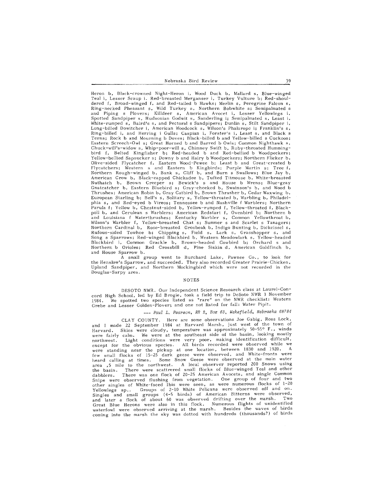Heron b, Black-crowned Night-Heron i, Wood Duck b, Mallard s, Blue-winged Teal i, Lesser Scaup i. Red-breasted Merganser i, Turkey Vulture b; Red-shouldered f, Broad-winged f, and Red-tailed b Hawks; Merlin s, Peregrine Falcon s, Ring-necked Pheasant s, Wild Turkey s, Northern Bobwhite s; Semipalmated s and Piping s Plovers; Killdeer s, American A voe et i, Lesser Yellow legs i, Spotted Sandpiper s, Hudsonian Godwit s, Sanderling i; Semipalmated s, Least i, White-rumped s, Baird's s, and Pectorals Sandpipers; Dunlin s, Stilt Sandpiper i, Long-billed Dowitcher i, American Woodcock s, Wilson's Phalaropc i; Franklin's s, Ring-billed i, and Herring i Gulls; Caspian i, Forster's i, Least s, and Black s Terns; Rock b and Mourning b Doves; Black-billed band Yellow-billed s Cuckoos; Eastern Screech-Owl s; Great Horned b and Barred b Owls; Common Nighthawk s, Chuck-will's-widow s, Whip-poor-will s, Chimney Swift b, Ruby-throated Hummingbird f, Belted Kingfisher b; Red-headed b and Red-bellied b Woodpeckers; Yellow-bellied Sapsuckers: Downy band Hairy b Woodpeckers; Northern Flicker b, Olive-sided Flycatcher f, Eastern Wood-Pewee b; Least b and Great-crested b Flycatchers; Western s and Eastern b Kingbirds; Purple Martin s; Tree f,<br>Northern Rough-winged b, Bank s, Cliff b, and Barn s Swallows; Blue Jay b, American Crow b, Black-capped Chickadee b, Tufted Titmouse b, White-breasted Nuthatch b, Brown Creeper s; Bewick's s and House b Wrens; Blue-gray Gnatcatcher b, Eastern Bluebird s; Gray-cheeked b, Swainson's b, and Wood b Thrushes; American Robin b, Gray Catbird b, Brown Thrasher b, Cedar Waxwing b, European Starling b; Bell's s, Solitary s, Yellow-throated b, Warbling b, Philadelphia s, and Red-eyed b Vireos; Tennessee b and Nashville f Warblers; Northern Parula f; Yellow b, Chestnut-sided b, Yellow-rumped f, Yellow-throated f, Blackpoll b, and Cerulean s Warblers; American Redstart f, Ovenbird b; Northern b and Louisiana f Waterthrushes; Kentucky Warbler s, Common Yellowthroat b, Wilson's Warbler f, Yellow-breasted Chat s; Summer s and Scarlet s Tanagers; Northern Cardinal b, Rose-breasted Grosbeak b, Indigo Bunting b, Dickcissel s, Rufous-sided Towhee b; Chipping s, Field s, Lark s, Grasshopper s, and Song s Sparrows; Red-winged Blackbird b, Western Meadowlark s, Yellow-headed Blackbird i, Common Grackle b, Brown-headed Cowbird b; Orchard s and Northern b Orioles; Red Crossbill d, Pine Siskin d, American Goldfinch b, and House Sparrow b.

A small group went to Burchard Lake, Pawnee Co., to look for the Henslow's Sparrow, and succeeded. They also recorded Greater Prairie-Chicken, Upland Sandpiper, and Northern Mockingbird which were not recorded in the Douglas-Sarpy area.

#### NOTES

DESOTO NWR. Our Independent Science Research class at Laurel-Concord High School, led by Ed Brogie, took a field trip to DeSoto NWR. 3 November 1984. We spotted two species listed as "rare" on the NWR checklist: Western Grebe and Lesser Golden-Plover; and one not listed for fall: Water Pipit.

# --- *Paul L. Pearson, RR 2, Box 63, Wakefield, Nebraska 68784*

CLAY COUNTY. Here are some observations Joe Gabig, Ross Lock, and I made 22 September 1984 at Harvard Marsh, just west of the town of Harvard. Skies were cloudy, temperature was approximately 50-55° F., winds were fairly calm. We were at the southeast side of the basin, looking mostly northwest. Light conditions were very poor, making identification difficult, except for the obvious species. All birds recorded were observed while we were standing near the pickup at one location, between 1830 and 1920. A few small flocks of 15-25 dark geese were observed, and White-fronts were heard calling at times. Some Snow Geese were observed at the main water area ,5 mile to the northwest. A local observer reported 200 Snows using<br>the basin. There were scattrered small flocks of Blue-winged Teal and other There were scattrered small flocks of Blue-winged Teal and other dabblers. There was one flock of 20-25 American Avocets, and single Common Snipe were observed flushing from vegetation. One group of four and two other singles of White-faced Ibis were seen, as were numerous flocks of 1-20<br>Yellowlegs sp.. Groups of 2-10 White Pelicans were observed off and on.<br>Singles and small groups (4-5 birds) of American Bitterns were observed,<br> waterfowl were observed arriving at the marsh. Besides the waves of birds coming into the marsh the sky was dotted with hundreds (thousands?) of birds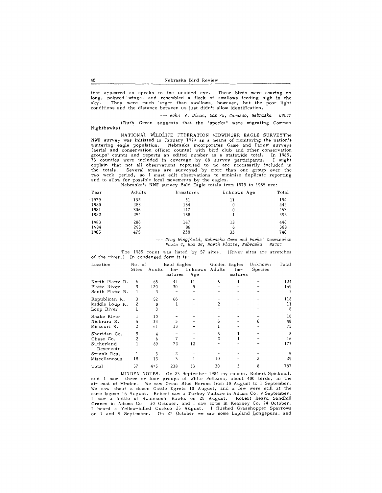that appeared as specks to the unaided eye. These birds were soaring on Jong, pointed · wings, and resembled a flock of swallows feeding high in the sky. They were much larger than swallows, however, but the poor light conditions and the distance between us just didn't allow identification.

--- *John* J. *Dinan, Box 75, Ceresco, Nebraska* <sup>68017</sup>

(Ruth Green suggests that the "specks" were migrating Common Nighthawks)

NATIONAL WILDLIFE FEDERATION MIDWINTER EAGLE SURVEYThe NWF survey was initiated in January 1979 as a means of monitoring the nation's wintering eagle population. Nebraska incorporates Game and Parks' surveys (aerial and conservation officer counts) with bird club and other conservation groups' counts and reports an edited number as a statewide total. In 1985, 73 counties were included in coverage by 88 survey participants. I might explain that not all observations reported to me are necessarily included in the totals. Several areas are surveyed by more than one group over the two week period, so I must edit observations to minimize duplicate reporting and to allow for possible local movements by the eagles. Nebraska's NWF survey Bald Eagle totals from 1979 to 1985 are:

|      |        |           | $1100140160$ $0.1111$ $0.4110$ $10.4110$ $0.4140$ $0.41410$ $0.41011$ $0.4101$ |       |
|------|--------|-----------|--------------------------------------------------------------------------------|-------|
| Year | Adults | Immatures | Unknown Age                                                                    | Total |
| 1979 | 132    | 51        | 11                                                                             | 194   |
| 1980 | 288    | 154       | 0                                                                              | 442   |
| 1981 | 306    | 147       | 0                                                                              | 453   |
| 1982 | 254    | 138       |                                                                                | 393   |
| 1983 | 286    | 147       | 13                                                                             | 446   |
| 1984 | 296    | 86        | 6                                                                              | 388   |
| 1985 | 475    | 238       | 33                                                                             | 746   |
|      |        |           |                                                                                |       |

--- *Greg Wingfield, Nebraska Game and Parks' Commission Route 4, Box 36, North Platte, Nebraska 69101* 

The 1985 **count** was listed by 57 **sites.** (River **sites** are stretches of the river.) In condensed form it is:

| Location                | No. of |        | Bald Eagles |         | Golden Eagles |         | Unknown | Total |
|-------------------------|--------|--------|-------------|---------|---------------|---------|---------|-------|
|                         | Sites  | Adults | $Im-$       | Unknown | Adults        | $Im-$   | Species |       |
|                         |        |        | matures     | Age     |               | matures |         |       |
| North Platte R.         | 6      | 65     | 41          | 11      | 6             |         |         | 124   |
| Platte River            |        | 120    | 30          | 9       |               |         |         | 159   |
| South Platte R.         |        |        |             |         |               |         |         | 3     |
| Republican R.           | 3      | 52     | 66          |         |               |         |         | 118   |
| Middle Loup R.          | 2      | 8      |             |         |               |         |         | 11    |
| Loup River              |        | 8      |             |         |               |         |         | 8     |
| Snake River             |        | 10     |             |         |               |         |         | 10    |
| Niobrara R.             | 5      | 33     |             |         |               |         |         | 48    |
| Missouri R.             |        | 61     | 13          |         |               |         |         | 75    |
| Sheridan Co.            | 5      | 4      |             |         |               |         |         | 8     |
| Chase Co.               |        | 6      |             |         |               |         |         | 16    |
| Sutherland<br>Reservoir |        | 89     | 72          | 12      |               |         |         | 173   |
| Strunk Res.             |        | 3      | 2           |         |               |         |         | 5     |
| Miscellaneous           | 18     | 13     |             |         | 10            |         |         | 29    |
| Total                   | 57     | 475    | 238         | 33      | 30            |         |         | 787   |

MINDEN NOTES. On 23 September 1984 my cousin, Robert Spicknall, and I saw three or four groups of White Pe!icans, about 400 birds, in the air east of Minden. We saw Great Blue Herons from 10 August to 1 September. We saw about a dozen Cattle Egrets 10 August, and a few were still at the same lagoon 16 August. Robert saw a Turkey Vulture in Adams Co. 9 September.<br>I saw a kettle of Swainson's Hawks on 25 August. Robert heard Sandhill<br>Cranes in Adams Co. 20 October, and I saw some in Kearney Co. 24 October.<br> on 1 and 9 September. On 27 October we saw some Lapland Longspurs, and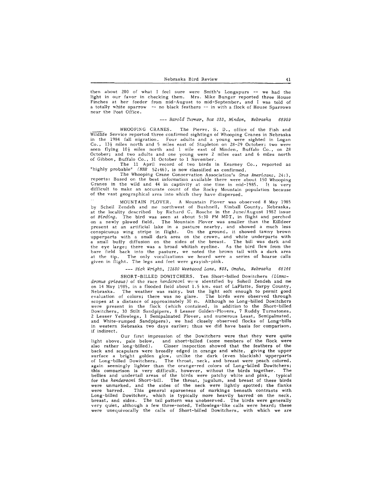then about 200 of what I feel sure were Smith's Longspurs -- we had the light in our favor in checking them. Mrs. Mike Bunger reported three House Finches at her feeder from mid-August to mid-September, and I was told of a totally white sparrow -- no black feathers -- in with a flock of House Sparrows near the Post Office.

--- *Harold Turner, Box 333, Minden, Nebraska 68959* 

WHOOPING CRANES. The Pierre. S. D., office of the Fish and Wildlife Service reported three confirmed sightings of Whooping Cranes in Nebraska in the 1984 fall migration. Four adults and a young were sighted in Logan Co.,  $13\frac{1}{2}$  miles north and 5 miles east of Stapleton on 28–29 October; two were seen flying  $10\frac{1}{2}$  miles north and 1 mile east of Minden, Buffalo Co., on 28 October; and two adults and one young were 2 miles east and 6 miles north of Gibbon, Buffalo Co., 31 October to 1 November.

The 11 April record of two birds in Kearney Co., reported as "highly probable" *(NBR* 52 :46), is now classified as confirmed.

The Whooping Crane Conservation Association's *Grus Americana,* 24:3, reports: Based on the best information available there were about 150 Whooping Cranes in the wild and 44 in captivity at one time in mid-1985. It is very difficult to make an accurate count of the Rocky Mountain population because of the vast geographical area into which they have dispersed.

MOUNTAIN PLOVER. A Mountain Plover was observed 8 May 1985 by Schei! Zendeh and me northwest of Bushnell, Kimball County, Nebraska, at the locality described by Richard C. Rasche in the June/August 1982 issue of *Birding.* The bird was seen at about 5:30 PM MDT, in flight and perched on a newly plowed field. The Mountain Plover was smaller than the Killdeer present at an artificial lake in a pasture nearby, and showed a much less conspicuous wing stripe in flight. On the ground, it showed tawny brown upperparts with a small dark area on the crown, and white underparts with a small buffy diffusion on the sides of the breast. The bill was dark and the eye large; there was a broad whitish eyeline. As the bird flew from the bare field back into the pasture, we noted the brown tail with a dark area at the tip. The only vocalizations we heard were a series of hoarse calls given in flight. The legs and feet were grayish-pink.

#### --- *Rick Wright, 11530 Westwood Lane,* #33, *Omaha, Nebraska 68144*

SHORT-BILLED DOWITCHERS. Ten Short-billed Dowitchers *(Limnodromus griseus)* of the race *hendersoni* we"e identified by Soheil Zendeh and me on 14 May 1985, in a flooded field about 1. 5 km. east of LaPlatte, Sarpy County, Nebraska. The weather was rainy, but the light soft enough to permit good evaluation of colors; there was no glare. The birds were observed through scopes at a distance of approximately 30 m. Although no Long-billed Dowitchers were present in the flock (which contained, in addition to the Short-billed Dowitchers, 30 Stilt Sandpipers, 8 Lesser Golden-Plovers, 7 Ruddy Turnstones, 2 Lesser Yellowlegs, 1 Semipalmated Plover, and numerous Least, Semipalmated, and White-rumped Sandpipers), we had closely observed flocks of Long-bills in western Nebraska two days earlier; thus we did have basis for comparison, if indirect.

Our first impression of the Dowitchers were that they were quite light above, pale below, and short-billed (some members of the flock were<br>also rather long-billed). Closer inspection showed that the feathers of the Closer inspection showed that the feathers of the back and scapulars were broadly edged in orange and white, giving the upper surface a bright golden glow, unlike the dark (even blackish) upperparts of Long-billed Dowitchers. The throat, neck, and breast were peach colored, again seemingly lighter than the orange-red colors of Long-billed Dowitchers; this comparison is very difficult, however, without the birds together. The bellies and undertail areas of the birds were patchy white and pink, typical for the *hendersoni* Short-bill. The throat, jugulum, and breast of these birds were unmarked, and the sides of the neck were lightly spotted; the flanks<br>were barred. This general sparseness of markings beneath contrasts with This general sparseness of markings beneath contrasts with Long-billed Dowitcher, which is typically more heavily barred· on the neck, breast, and sides. The tail pattern was unobserved. The birds were generally very quiet, although a few three-noted, Yellowlegs-like calls were heard; these were unequivocally the calls of Short-billed Dowitchers, with which we are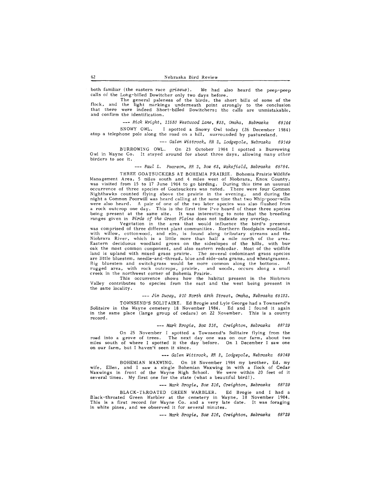both familiar (the eastern race *griseus*). We had also heard the peep-peep calls of the Long-billed Dowitcher only two days before.

The general paleness of the birds, the short bills of some of the flock, and the light markings underneath point strongly to the conclusion that there were indeed Short-billed Dowitchers; the calls are unmistakable, and confirm the identification.

--- *Rick Wright, 11530 Westwood Lane,* #33, *Omaha, Nebraska 68144*  SNOWY OWL. I spotted a Snowy Owl today (26 December 1984) atop a telephone pole along the road on a hill, surrounded by pastureland.

--- *Galen Wittrock, RR 2, Lodgepole, Nebraska 69149* 

BURROWING OWL. On 23 October 1984 I spotted a Burrowing Owl in Wayne Co. It stayed around for about three days, allowing many other birders to see it.

# --- *Paul L. Pearson, RR 2, Box 63, Wakefield, Nebraska 68184.*

THREE GOA TSUCKERS AT BOHEMIA PRAIRIE. Bohemia Prairie Wildlife Management Area, 5 miles south and 4 miles west of Niobrara, Knox County, was visited from 15 to 17 June 1984 to go birding. During this time an ususual occurrence of three species of Goatsuckers was noted. There were four Common Nighthawks counted flying above the prairie in the evening, and during the night a Common Poorwill was heard calling at the same time that two Whip-poor-wills were also heard. A pair of one of the two later species was also flushed from a rock outcrop one day. This is the first time I've heard of these three species being present at the same site. It was interesting to note that the breeding ranges given in *Birds of the Great Plains* does not indicate any overlap.

Vegetation in the area that would influence the bird's presence was comprised of three different plant communities. Northern floodplain woodland, with willow, cottonwood, and elm, is found along tributary streams and the Niobrara River, which is a little more than half a mile north of the area. Eastern deciduous woodland grows on the sideslopes of the hills, with bur oak the most common component, and also eastern redcedar. Most of the wildlife land is upland with mixed grass prairie. The several codominant grass species are little bluestem, needle-and-thread, blue and side-oats grama, and wheatgrasses. Big bluestem and switchgrass would be more common along the bottoms. A rugged area, with rock outcrops, prairie, and woods, occurs along a small creek in the northwest corner of Bohemia Prairie.

This occurrence shows how the habitat present in the Niobrara Valley contributes to species from the east and the west being present in the same locality.

--- *Jim Ducey, 910 North 49th Street, Omaha, Nebraska 68132.* 

TOWNSEND'S SOLITAIRE. Ed Brogie and Lyle George had a Townsend's Solitaire in the Wayne cemetery 18 November 1984. Ed and I found it again in the same place (large group of cedars) on 22 November. This is a county record.

--- *Mark Brogie, Box 316, Creighton, Nebraska 68129* 

On 25 November I spotted a Townsend's Solitaire flying from the road into a grove of trees. The next day one was on our farm, about two miles south of where I spotted it the day before. On 1 December I saw one on our farm, but I haven't seen it since.

*Galen Wittrock, RR 2, Lodgepole, Nebraska 69149* 

BOHEMIAN WAXWING. On 18 November 1984 my brother, Ed, my wife, Ellen, and I saw a single Bohemian Waxwing in with a flock of Cedar Waxwings in front of the Wayne High School. We were within 20 feet of it several times. My first one for the state (what a beautiful bird!).

*Mark Brogie, Box 316, Creighton, Nebraska 68129* 

BLACK-ThROATED GREEN WARBLER. Ed Brogie and had a Black-throated Green Warbler at the cemetery in Wayne, 18 November 1984. This is a first record for Wayne Co. and a very late date. It was foraging in white pines, and we observed it for several minutes.

--- *Mark Brogie, Box 316, Creighton, Nebraska 68129*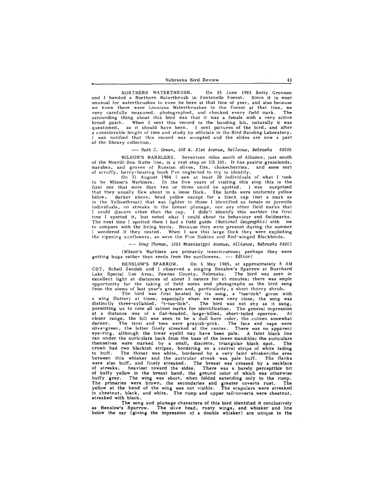NORTHERN WATERTHRUSH. On 15 June 1983 Betty Grennon and I banded a Northern Waterthrush in Fontenelle Forest. Since it is most unusual for waterthrushes to even be here at that time of year, and also because we knew there were Lousiana Waterthrushes in the Forest at that time, we<br>very carefully measured, photographed, and checked every field mark. The very carefully measured, photographed, and checked every field mark. astounding thing about this bird was that it was a female with a very active brood patch. When I sent this record to the banding lab, naturally it was When I sent this record to the banding lab, naturally it was questioned, as it should have been. I sent pictures of the bird, and after a considerable length of time and study by officials in the Bird Banding Laboratory, I was notified that this record was accepted and the slides are now a part of the library collection.

#### --- *Ruth C. Green, 506 W. 31st Avenue, Bellevue, Nebraska 68005*

WILSON'S WARBLERS. Seventeen miles south of Alliance, just south of the Morrill-Box Butte line, is a rest stop on US 385. It has prairie grasslands, marshes, and groves of Russian olives, firs, chokecherries, and some sort

of scruffy, berry-bearing bush I've neglected to try to identify. On 31 August 1984 I saw at least 20 individuals of what I took to be Wilson's Warblers. In the five years of visiting this stop this is the first one that more than two or three could be spotted. I was surprised that they usually flew about in a loose flock. The birds were uniformly yellow<br>below, darker above, head yellow except for a black cap (not a mask as<br>in the Yellowthroat) that was lighter in those I identified as female or individuals, no streaks in the breast plumage, nor any other field marks that I could discern other than the cap. I didn't identify this warbler the first time I spotted it, but noted what I could about its behaviour and fieldmarks. The next time I spotted them I had a field guide *(National Geographic)* with me to compare with the living birds. Because they were present during the summer I wondered if they nested. When I saw this large flock they were exploiting the ripening sunflowers, as were the Pine Siskins and Red-winged Blackbirds.

--- *Doug Thomas, 1035 Mississippi Avenue, Alliance, Nebraska 69301* 

(Wilson's Warblers are primarily insectivorous; perhaps they were getting bugs rather than seeds from the sunflowers. --- *Editor)* 

HENSLOW'S SPARROW. On 6 May 1985, at approximately 8 AM CDT, Schei! Zendeh and I observed a singing Henslow's Sparrow at Burchard Lake Special Use Area, Pawnee County, Nebraska. The bird was seen in excellent light at distances of about 3 meters for 45 minutes; there was ample opportunity for the taking of field notes and photographs as the bird sang from the stems of last year's grasses and, particularly, a short thorny shrub.

The bird was first located by its song, a "tse-lick" given with<br>a wing flutter; at times, especially when we were very close, the song was<br>distinctly three-syllabled, "t-tse-lick". The bird was not shy as it sang,<br>permitti at a distance was of a flat-headed, large-billed, short-tailed sparrow. At closer range, the bill was seen to be a dull horn color, the culmen somewhat darker. The tarsi and toes were grayish-pink. The face and nape were olive-green, the latter finely streaked at the center. There was no apparent eye-ring, although the lower eyelid may have been pale. A faint black line ran under the auriculars back from the base of the lower mandible; the auriculars<br>themselves were marked by a small, discrete, triangular black spot. The themselves were marked by a small, discrete, triangular black spot. crown had two blackish stripes, bordering on a central stripe of white fading to buff. The throat was white, bordered by a very faint whisker; the area between this whisker and the auricular streak was pale buff. The flanks were also buff, and finely streaked. The breast was crossed by a necklace of streaks, heaviest toward the sides. There was a bare1y perceptible bit of buffy yellow in the breast band, the ground color of which was otherwise buffy gray. The wing was short, when folded extending only to the rump. The primaries were brown, the secondaries and greater coverts rust. The yellow at the bend of the wing was not visible. The scapulars were streaked in chestnut, black, and white. The rump and upper tail-coverts were chestnut, streaked with black.

The song and plumage characters of this bird identified it conclusively as Henslow's Sparrow. The olive head, rusty wings, and whisker and line below the ear (giving the impression of a double whisker) are unique to the